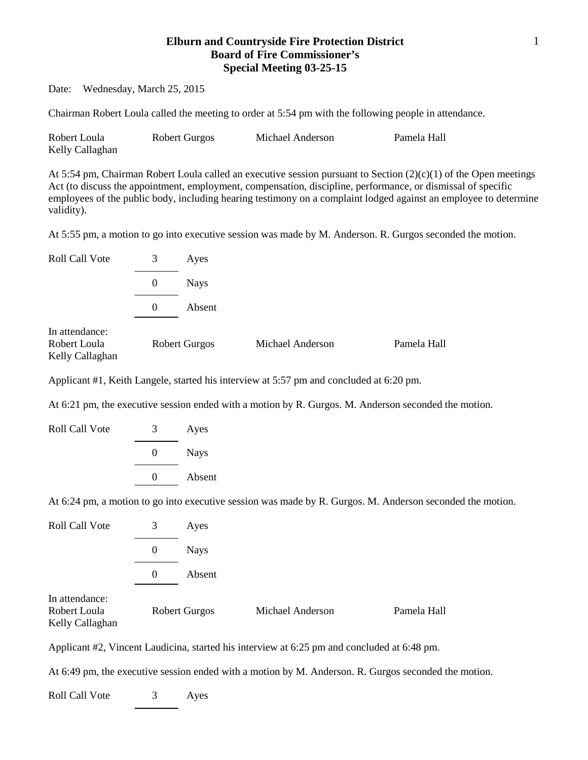## **Elburn and Countryside Fire Protection District Board of Fire Commissioner's Special Meeting 03-25-15**

Date: Wednesday, March 25, 2015

Chairman Robert Loula called the meeting to order at 5:54 pm with the following people in attendance.

| Robert Loula    | Robert Gurgos | Michael Anderson | Pamela Hall |
|-----------------|---------------|------------------|-------------|
| Kelly Callaghan |               |                  |             |

At 5:54 pm, Chairman Robert Loula called an executive session pursuant to Section (2)(c)(1) of the Open meetings Act (to discuss the appointment, employment, compensation, discipline, performance, or dismissal of specific employees of the public body, including hearing testimony on a complaint lodged against an employee to determine validity).

At 5:55 pm, a motion to go into executive session was made by M. Anderson. R. Gurgos seconded the motion.

| Roll Call Vote                                    | 3        | Ayes                 |                  |             |
|---------------------------------------------------|----------|----------------------|------------------|-------------|
|                                                   | $\theta$ | <b>Nays</b>          |                  |             |
|                                                   | $\Omega$ | Absent               |                  |             |
| In attendance:<br>Robert Loula<br>Kelly Callaghan |          | <b>Robert Gurgos</b> | Michael Anderson | Pamela Hall |

Applicant #1, Keith Langele, started his interview at 5:57 pm and concluded at 6:20 pm.

At 6:21 pm, the executive session ended with a motion by R. Gurgos. M. Anderson seconded the motion.

| <b>Nays</b> |  |
|-------------|--|
| Absent      |  |
|             |  |

At 6:24 pm, a motion to go into executive session was made by R. Gurgos. M. Anderson seconded the motion.

| Roll Call Vote                                    | 3        | Ayes                 |                  |             |
|---------------------------------------------------|----------|----------------------|------------------|-------------|
|                                                   | $\theta$ | <b>Nays</b>          |                  |             |
|                                                   | $\theta$ | Absent               |                  |             |
| In attendance:<br>Robert Loula<br>Kelly Callaghan |          | <b>Robert Gurgos</b> | Michael Anderson | Pamela Hall |

Applicant #2, Vincent Laudicina, started his interview at 6:25 pm and concluded at 6:48 pm.

At 6:49 pm, the executive session ended with a motion by M. Anderson. R. Gurgos seconded the motion.

Roll Call Vote 3 Ayes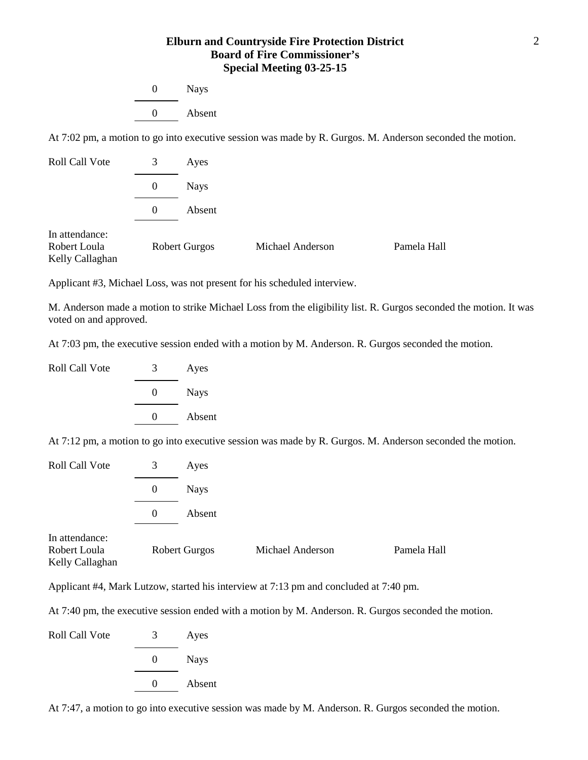## **Elburn and Countryside Fire Protection District Board of Fire Commissioner's Special Meeting 03-25-15**

| $\Omega$ | <b>Nays</b> |  |
|----------|-------------|--|
| $\Omega$ | Absent      |  |

At 7:02 pm, a motion to go into executive session was made by R. Gurgos. M. Anderson seconded the motion.

| Roll Call Vote                                    | 3        | Ayes                 |                  |             |
|---------------------------------------------------|----------|----------------------|------------------|-------------|
|                                                   | $\theta$ | <b>Nays</b>          |                  |             |
|                                                   | $\theta$ | Absent               |                  |             |
| In attendance:<br>Robert Loula<br>Kelly Callaghan |          | <b>Robert Gurgos</b> | Michael Anderson | Pamela Hall |

Applicant #3, Michael Loss, was not present for his scheduled interview.

M. Anderson made a motion to strike Michael Loss from the eligibility list. R. Gurgos seconded the motion. It was voted on and approved.

At 7:03 pm, the executive session ended with a motion by M. Anderson. R. Gurgos seconded the motion.

| Roll Call Vote | 3        | Ayes        |
|----------------|----------|-------------|
|                | $\theta$ | <b>Nays</b> |
|                | $\lq$    | Absent      |

At 7:12 pm, a motion to go into executive session was made by R. Gurgos. M. Anderson seconded the motion.

| <b>Roll Call Vote</b>                             | 3        | Ayes                 |                  |             |
|---------------------------------------------------|----------|----------------------|------------------|-------------|
|                                                   | $\theta$ | <b>Nays</b>          |                  |             |
|                                                   | $\Omega$ | Absent               |                  |             |
| In attendance:<br>Robert Loula<br>Kelly Callaghan |          | <b>Robert Gurgos</b> | Michael Anderson | Pamela Hall |

Applicant #4, Mark Lutzow, started his interview at 7:13 pm and concluded at 7:40 pm.

At 7:40 pm, the executive session ended with a motion by M. Anderson. R. Gurgos seconded the motion.

Roll Call Vote 3 Ayes 0 Nays 0 Absent

At 7:47, a motion to go into executive session was made by M. Anderson. R. Gurgos seconded the motion.